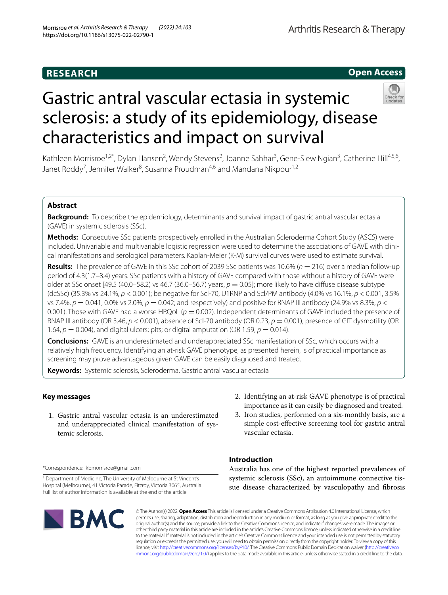# **RESEARCH**

# **Open Access**

# Gastric antral vascular ectasia in systemic sclerosis: a study of its epidemiology, disease characteristics and impact on survival



Kathleen Morrisroe<sup>1,2\*</sup>, Dylan Hansen<sup>2</sup>, Wendy Stevens<sup>2</sup>, Joanne Sahhar<sup>3</sup>, Gene-Siew Ngian<sup>3</sup>, Catherine Hill<sup>4,5,6</sup>, Janet Roddy<sup>7</sup>, Jennifer Walker<sup>8</sup>, Susanna Proudman<sup>4,6</sup> and Mandana Nikpour<sup>1,2</sup>

# **Abstract**

**Background:** To describe the epidemiology, determinants and survival impact of gastric antral vascular ectasia (GAVE) in systemic sclerosis (SSc).

**Methods:** Consecutive SSc patients prospectively enrolled in the Australian Scleroderma Cohort Study (ASCS) were included. Univariable and multivariable logistic regression were used to determine the associations of GAVE with clinical manifestations and serological parameters. Kaplan-Meier (K-M) survival curves were used to estimate survival.

**Results:** The prevalence of GAVE in this SSc cohort of 2039 SSc patients was 10.6% (*n* = 216) over a median follow-up period of 4.3(1.7–8.4) years. SSc patients with a history of GAVE compared with those without a history of GAVE were older at SSc onset [49.5 (40.0–58.2) vs 46.7 (36.0–56.7) years, *p* = 0.05]; more likely to have difuse disease subtype (dcSSc) (35.3% vs 24.1%, *p* < 0.001); be negative for Scl-70, U1RNP and Scl/PM antibody (4.0% vs 16.1%, *p* < 0.001, 3.5% vs 7.4%,  $p = 0.041$ , 0.0% vs 2.0%,  $p = 0.042$ ; and respectively) and positive for RNAP III antibody (24.9% vs 8.3%,  $p <$ 0.001). Those with GAVE had a worse HRQoL ( $p = 0.002$ ). Independent determinants of GAVE included the presence of RNAP III antibody (OR 3.46, *p* < 0.001), absence of Scl-70 antibody (OR 0.23, *p* = 0.001), presence of GIT dysmotility (OR 1.64,  $p = 0.004$ ), and digital ulcers; pits; or digital amputation (OR 1.59,  $p = 0.014$ ).

**Conclusions:** GAVE is an underestimated and underappreciated SSc manifestation of SSc, which occurs with a relatively high frequency. Identifying an at-risk GAVE phenotype, as presented herein, is of practical importance as screening may prove advantageous given GAVE can be easily diagnosed and treated.

**Keywords:** Systemic sclerosis, Scleroderma, Gastric antral vascular ectasia

# **Key messages**

- 1. Gastric antral vascular ectasia is an underestimated and underappreciated clinical manifestation of systemic sclerosis.
- 2. Identifying an at-risk GAVE phenotype is of practical importance as it can easily be diagnosed and treated.
- 3. Iron studies, performed on a six-monthly basis, are a simple cost-efective screening tool for gastric antral vascular ectasia.

\*Correspondence: kbmorrisroe@gmail.com

<sup>&</sup>lt;sup>1</sup> Department of Medicine, The University of Melbourne at St Vincent's Hospital (Melbourne), 41 Victoria Parade, Fitzroy, Victoria 3065, Australia Full list of author information is available at the end of the article



**Introduction**

Australia has one of the highest reported prevalences of systemic sclerosis (SSc), an autoimmune connective tissue disease characterized by vasculopathy and fbrosis

© The Author(s) 2022. **Open Access** This article is licensed under a Creative Commons Attribution 4.0 International License, which permits use, sharing, adaptation, distribution and reproduction in any medium or format, as long as you give appropriate credit to the original author(s) and the source, provide a link to the Creative Commons licence, and indicate if changes were made. The images or other third party material in this article are included in the article's Creative Commons licence, unless indicated otherwise in a credit line to the material. If material is not included in the article's Creative Commons licence and your intended use is not permitted by statutory regulation or exceeds the permitted use, you will need to obtain permission directly from the copyright holder. To view a copy of this licence, visit [http://creativecommons.org/licenses/by/4.0/.](http://creativecommons.org/licenses/by/4.0/) The Creative Commons Public Domain Dedication waiver ([http://creativeco](http://creativecommons.org/publicdomain/zero/1.0/) [mmons.org/publicdomain/zero/1.0/](http://creativecommons.org/publicdomain/zero/1.0/)) applies to the data made available in this article, unless otherwise stated in a credit line to the data.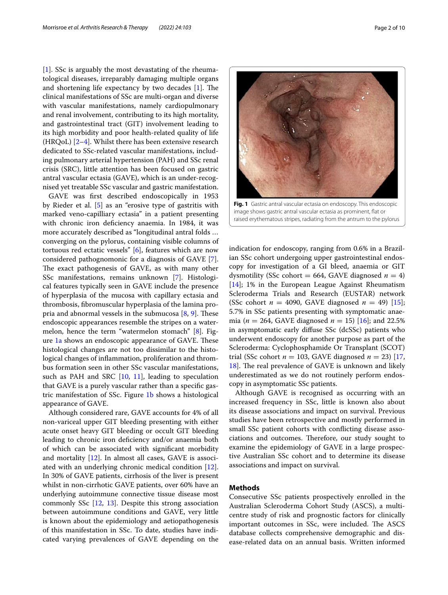[[1\]](#page-8-0). SSc is arguably the most devastating of the rheumatological diseases, irreparably damaging multiple organs and shortening life expectancy by two decades  $[1]$  $[1]$ . The clinical manifestations of SSc are multi-organ and diverse with vascular manifestations, namely cardiopulmonary and renal involvement, contributing to its high mortality, and gastrointestinal tract (GIT) involvement leading to its high morbidity and poor health-related quality of life (HRQoL) [[2–](#page-8-1)[4](#page-9-0)]. Whilst there has been extensive research dedicated to SSc-related vascular manifestations, including pulmonary arterial hypertension (PAH) and SSc renal crisis (SRC), little attention has been focused on gastric antral vascular ectasia (GAVE), which is an under-recognised yet treatable SSc vascular and gastric manifestation.

GAVE was frst described endoscopically in 1953 by Rieder et al. [[5\]](#page-9-1) as an "erosive type of gastritis with marked veno-capilliary ectasia" in a patient presenting with chronic iron defciency anaemia. In 1984, it was more accurately described as "longitudinal antral folds … converging on the pylorus, containing visible columns of tortuous red ectatic vessels" [[6\]](#page-9-2), features which are now considered pathognomonic for a diagnosis of GAVE [\[7](#page-9-3)]. The exact pathogenesis of GAVE, as with many other SSc manifestations, remains unknown [[7\]](#page-9-3). Histological features typically seen in GAVE include the presence of hyperplasia of the mucosa with capillary ectasia and thrombosis, fbromuscular hyperplasia of the lamina propria and abnormal vessels in the submucosa  $[8, 9]$  $[8, 9]$  $[8, 9]$  $[8, 9]$ . These endoscopic appearances resemble the stripes on a watermelon, hence the term "watermelon stomach" [\[8](#page-9-4)]. Fig-ure [1a](#page-1-0) shows an endoscopic appearance of GAVE. These histological changes are not too dissimilar to the histological changes of infammation, proliferation and thrombus formation seen in other SSc vascular manifestations, such as PAH and SRC [\[10,](#page-9-6) [11](#page-9-7)], leading to speculation that GAVE is a purely vascular rather than a specifc gastric manifestation of SSc. Figure [1b](#page-1-0) shows a histological appearance of GAVE.

Although considered rare, GAVE accounts for 4% of all non-variceal upper GIT bleeding presenting with either acute onset heavy GIT bleeding or occult GIT bleeding leading to chronic iron defciency and/or anaemia both of which can be associated with signifcant morbidity and mortality [\[12](#page-9-8)]. In almost all cases, GAVE is associated with an underlying chronic medical condition [\[12](#page-9-8)]. In 30% of GAVE patients, cirrhosis of the liver is present whilst in non-cirrhotic GAVE patients, over 60% have an underlying autoimmune connective tissue disease most commonly SSc [[12,](#page-9-8) [13\]](#page-9-9). Despite this strong association between autoimmune conditions and GAVE, very little is known about the epidemiology and aetiopathogenesis of this manifestation in SSc. To date, studies have indicated varying prevalences of GAVE depending on the



<span id="page-1-0"></span>image shows gastric antral vascular ectasia as prominent, fat or raised erythematous stripes, radiating from the antrum to the pylorus

indication for endoscopy, ranging from 0.6% in a Brazilian SSc cohort undergoing upper gastrointestinal endoscopy for investigation of a GI bleed, anaemia or GIT dysmotility (SSc cohort = 664, GAVE diagnosed  $n = 4$ ) [[14\]](#page-9-10); 1% in the European League Against Rheumatism Scleroderma Trials and Research (EUSTAR) network (SSc cohort  $n = 4090$ , GAVE diagnosed  $n = 49$ ) [\[15](#page-9-11)]; 5.7% in SSc patients presenting with symptomatic anaemia ( $n = 264$ , GAVE diagnosed  $n = 15$ ) [\[16\]](#page-9-12); and 22.5% in asymptomatic early difuse SSc (dcSSc) patients who underwent endoscopy for another purpose as part of the Scleroderma: Cyclophosphamide Or Transplant (SCOT) trial (SSc cohort  $n = 103$ , GAVE diagnosed  $n = 23$ ) [[17](#page-9-13), [18\]](#page-9-14). The real prevalence of GAVE is unknown and likely underestimated as we do not routinely perform endoscopy in asymptomatic SSc patients.

Although GAVE is recognised as occurring with an increased frequency in SSc, little is known also about its disease associations and impact on survival. Previous studies have been retrospective and mostly performed in small SSc patient cohorts with conficting disease associations and outcomes. Therefore, our study sought to examine the epidemiology of GAVE in a large prospective Australian SSc cohort and to determine its disease associations and impact on survival.

# **Methods**

Consecutive SSc patients prospectively enrolled in the Australian Scleroderma Cohort Study (ASCS), a multicentre study of risk and prognostic factors for clinically important outcomes in SSc, were included. The ASCS database collects comprehensive demographic and disease-related data on an annual basis. Written informed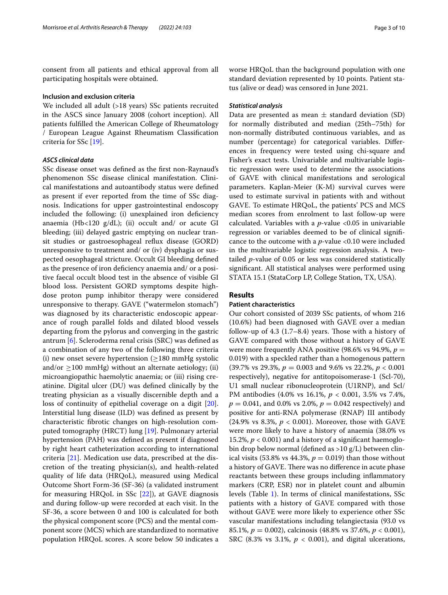consent from all patients and ethical approval from all participating hospitals were obtained.

## **Inclusion and exclusion criteria**

We included all adult (>18 years) SSc patients recruited in the ASCS since January 2008 (cohort inception). All patients fulflled the American College of Rheumatology / European League Against Rheumatism Classifcation criteria for SSc [[19\]](#page-9-15).

# *ASCS clinical data*

SSc disease onset was defned as the frst non-Raynaud's phenomenon SSc disease clinical manifestation. Clinical manifestations and autoantibody status were defned as present if ever reported from the time of SSc diagnosis. Indications for upper gastrointestinal endoscopy included the following: (i) unexplained iron defciency anaemia (Hb<120  $g/dL$ ); (ii) occult and/ or acute GI bleeding; (iii) delayed gastric emptying on nuclear transit studies or gastroesophageal refux disease (GORD) unresponsive to treatment and/ or (iv) dysphagia or suspected oesophageal stricture. Occult GI bleeding defned as the presence of iron defciency anaemia and/ or a positive faecal occult blood test in the absence of visible GI blood loss. Persistent GORD symptoms despite highdose proton pump inhibitor therapy were considered unresponsive to therapy. GAVE ("watermelon stomach") was diagnosed by its characteristic endoscopic appearance of rough parallel folds and dilated blood vessels departing from the pylorus and converging in the gastric antrum [[6\]](#page-9-2). Scleroderma renal crisis (SRC) was defned as a combination of any two of the following three criteria (i) new onset severe hypertension  $(\geq 180 \text{ mmHg} \text{ systolic})$ and/or  $\geq$ 100 mmHg) without an alternate aetiology; (ii) microangiopathic haemolytic anaemia; or (iii) rising creatinine. Digital ulcer (DU) was defned clinically by the treating physician as a visually discernible depth and a loss of continuity of epithelial coverage on a digit [\[20](#page-9-16)]. Interstitial lung disease (ILD) was defned as present by characteristic fbrotic changes on high-resolution computed tomography (HRCT) lung [\[19](#page-9-15)]. Pulmonary arterial hypertension (PAH) was defned as present if diagnosed by right heart catheterization according to international criteria [[21](#page-9-17)]. Medication use data, prescribed at the discretion of the treating physician(s), and health-related quality of life data (HRQoL), measured using Medical Outcome Short Form-36 (SF-36) (a validated instrument for measuring HRQoL in SSc [[22\]](#page-9-18)), at GAVE diagnosis and during follow-up were recorded at each visit. In the SF-36, a score between 0 and 100 is calculated for both the physical component score (PCS) and the mental component score (MCS) which are standardized to normative population HRQoL scores. A score below 50 indicates a worse HRQoL than the background population with one standard deviation represented by 10 points. Patient status (alive or dead) was censored in June 2021.

# *Statistical analysis*

Data are presented as mean  $\pm$  standard deviation (SD) for normally distributed and median (25th–75th) for non-normally distributed continuous variables, and as number (percentage) for categorical variables. Diferences in frequency were tested using chi-square and Fisher's exact tests. Univariable and multivariable logistic regression were used to determine the associations of GAVE with clinical manifestations and serological parameters. Kaplan-Meier (K-M) survival curves were used to estimate survival in patients with and without GAVE. To estimate HRQoL, the patients' PCS and MCS median scores from enrolment to last follow-up were calculated. Variables with a *p*-value <0.05 in univariable regression or variables deemed to be of clinical signifcance to the outcome with a *p*-value <0.10 were included in the multivariable logistic regression analysis. A twotailed *p*-value of 0.05 or less was considered statistically signifcant. All statistical analyses were performed using STATA 15.1 (StataCorp LP, College Station, TX, USA).

# **Results**

# **Patient characteristics**

Our cohort consisted of 2039 SSc patients, of whom 216 (10.6%) had been diagnosed with GAVE over a median follow-up of  $4.3$  (1.7–8.4) years. Those with a history of GAVE compared with those without a history of GAVE were more frequently ANA positive (98.6% vs 94.9%,  $p =$ 0.019) with a speckled rather than a homogenous pattern (39.7% vs 29.3%, *p* = 0.003 and 9.6% vs 22.2%, *p* < 0.001 respectively), negative for antitopoisomerase-1 (Scl-70), U1 small nuclear ribonucleoprotein (U1RNP), and Scl/ PM antibodies (4.0% vs 16.1%, *p* < 0.001, 3.5% vs 7.4%,  $p = 0.041$ , and 0.0% vs 2.0%,  $p = 0.042$  respectively) and positive for anti-RNA polymerase (RNAP) III antibody (24.9% vs 8.3%, *p* < 0.001). Moreover, those with GAVE were more likely to have a history of anaemia (38.0% vs 15.2%,  $p < 0.001$ ) and a history of a significant haemoglobin drop below normal (defned as >10 g/L) between clinical visits (53.8% vs 44.3%,  $p = 0.019$ ) than those without a history of GAVE. There was no difference in acute phase reactants between these groups including infammatory markers (CRP, ESR) nor in platelet count and albumin levels (Table [1\)](#page-3-0). In terms of clinical manifestations, SSc patients with a history of GAVE compared with those without GAVE were more likely to experience other SSc vascular manifestations including telangiectasia (93.0 vs 85.1%, *p* = 0.002), calcinosis (48.8% vs 37.6%, *p* < 0.001), SRC (8.3% vs 3.1%,  $p < 0.001$ ), and digital ulcerations,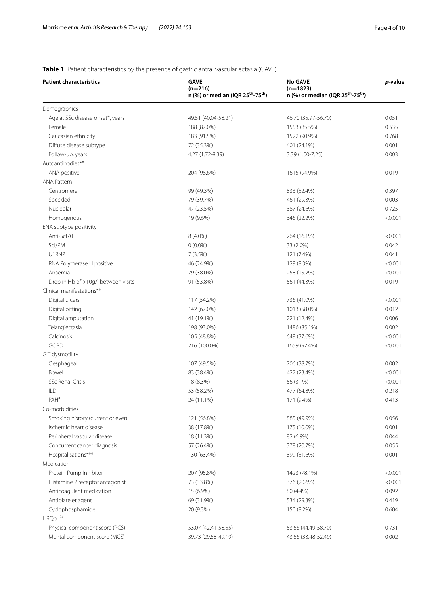# <span id="page-3-0"></span>**Table 1** Patient characteristics by the presence of gastric antral vascular ectasia (GAVE)

| <b>Patient characteristics</b>      | <b>GAVE</b><br>$(n=216)$<br>n (%) or median (IQR 25 <sup>th</sup> -75 <sup>th</sup> ) | No GAVE<br>$(n=1823)$<br>n (%) or median (IQR 25 <sup>th</sup> -75 <sup>th</sup> ) | p-value |
|-------------------------------------|---------------------------------------------------------------------------------------|------------------------------------------------------------------------------------|---------|
|                                     |                                                                                       |                                                                                    |         |
| Demographics                        |                                                                                       |                                                                                    |         |
| Age at SSc disease onset*, years    | 49.51 (40.04-58.21)                                                                   | 46.70 (35.97-56.70)                                                                | 0.051   |
| Female                              | 188 (87.0%)                                                                           | 1553 (85.5%)                                                                       | 0.535   |
| Caucasian ethnicity                 | 183 (91.5%)                                                                           | 1522 (90.9%)                                                                       | 0.768   |
| Diffuse disease subtype             | 72 (35.3%)                                                                            | 401 (24.1%)                                                                        | 0.001   |
| Follow-up, years                    | 4.27 (1.72-8.39)                                                                      | 3.39 (1.00-7.25)                                                                   | 0.003   |
| Autoantibodies**                    |                                                                                       |                                                                                    |         |
| ANA positive                        | 204 (98.6%)                                                                           | 1615 (94.9%)                                                                       | 0.019   |
| <b>ANA Pattern</b>                  |                                                                                       |                                                                                    |         |
| Centromere                          | 99 (49.3%)                                                                            | 833 (52.4%)                                                                        | 0.397   |
| Speckled                            | 79 (39.7%)                                                                            | 461 (29.3%)                                                                        | 0.003   |
| Nucleolar                           | 47 (23.5%)                                                                            | 387 (24.6%)                                                                        | 0.725   |
| Homogenous                          | 19 (9.6%)                                                                             | 346 (22.2%)                                                                        | < 0.001 |
| ENA subtype positivity              |                                                                                       |                                                                                    |         |
| Anti-Scl70                          | 8 (4.0%)                                                                              | 264 (16.1%)                                                                        | < 0.001 |
| Scl/PM                              | $0(0.0\%)$                                                                            | 33 (2.0%)                                                                          | 0.042   |
| U1RNP                               | 7(3.5%)                                                                               | 121 (7.4%)                                                                         | 0.041   |
| RNA Polymerase III positive         | 46 (24.9%)                                                                            | 129 (8.3%)                                                                         | < 0.001 |
| Anaemia                             | 79 (38.0%)                                                                            | 258 (15.2%)                                                                        | < 0.001 |
| Drop in Hb of >10g/l between visits | 91 (53.8%)                                                                            | 561 (44.3%)                                                                        | 0.019   |
| Clinical manifestations**           |                                                                                       |                                                                                    |         |
| Digital ulcers                      | 117 (54.2%)                                                                           | 736 (41.0%)                                                                        | < 0.001 |
| Digital pitting                     | 142 (67.0%)                                                                           | 1013 (58.0%)                                                                       | 0.012   |
| Digital amputation                  | 41 (19.1%)                                                                            | 221 (12.4%)                                                                        | 0.006   |
| Telangiectasia                      | 198 (93.0%)                                                                           | 1486 (85.1%)                                                                       | 0.002   |
| Calcinosis                          | 105 (48.8%)                                                                           | 649 (37.6%)                                                                        | < 0.001 |
| GORD                                | 216 (100.0%)                                                                          | 1659 (92.4%)                                                                       | < 0.001 |
| GIT dysmotility                     |                                                                                       |                                                                                    |         |
| Oesphageal                          | 107 (49.5%)                                                                           | 706 (38.7%)                                                                        | 0.002   |
| Bowel                               | 83 (38.4%)                                                                            | 427 (23.4%)                                                                        | < 0.001 |
| <b>SSc Renal Crisis</b>             | 18 (8.3%)                                                                             | 56 (3.1%)                                                                          | < 0.001 |
| ILD                                 | 53 (58.2%)                                                                            | 477 (64.8%)                                                                        | 0.218   |
| PAH <sup>#</sup>                    | 24 (11.1%)                                                                            | 171 (9.4%)                                                                         | 0.413   |
| Co-morbidities                      |                                                                                       |                                                                                    |         |
| Smoking history (current or ever)   | 121 (56.8%)                                                                           | 885 (49.9%)                                                                        | 0.056   |
| Ischemic heart disease              | 38 (17.8%)                                                                            | 175 (10.0%)                                                                        | 0.001   |
| Peripheral vascular disease         | 18 (11.3%)                                                                            | 82 (6.9%)                                                                          | 0.044   |
| Concurrent cancer diagnosis         | 57 (26.4%)                                                                            | 378 (20.7%)                                                                        | 0.055   |
| Hospitalisations***                 | 130 (63.4%)                                                                           | 899 (51.6%)                                                                        | 0.001   |
| Medication                          |                                                                                       |                                                                                    |         |
|                                     |                                                                                       |                                                                                    |         |
| Protein Pump Inhibitor              | 207 (95.8%)                                                                           | 1423 (78.1%)                                                                       | < 0.001 |
| Histamine 2 receptor antagonist     | 73 (33.8%)                                                                            | 376 (20.6%)                                                                        | < 0.001 |
| Anticoagulant medication            | 15 (6.9%)                                                                             | 80 (4.4%)                                                                          | 0.092   |
| Antiplatelet agent                  | 69 (31.9%)                                                                            | 534 (29.3%)                                                                        | 0.419   |
| Cyclophosphamide                    | 20 (9.3%)                                                                             | 150 (8.2%)                                                                         | 0.604   |
| HRQoL##                             |                                                                                       |                                                                                    |         |
| Physical component score (PCS)      | 53.07 (42.41-58.55)                                                                   | 53.56 (44.49-58.70)                                                                | 0.731   |
| Mental component score (MCS)        | 39.73 (29.58-49.19)                                                                   | 43.56 (33.48-52.49)                                                                | 0.002   |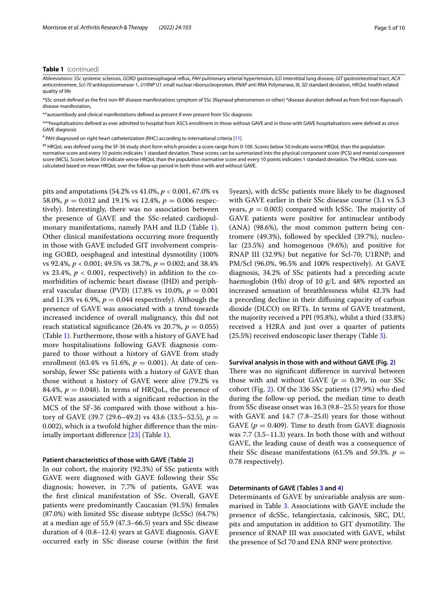## **Table 1** (continued)

*Abbreviations*: *SSc* systemic sclerosis, *GORD* gastroesophageal refux, *PAH* pulmonary arterial hypertension, *ILD* interstitial lung disease, *GIT* gastrointestinal tract, *ACA* anticentromere, *Scl-70* antitopoisomerase-1, *U1RNP* U1 small nuclear ribonucleoprotein, *RNAP* anti RNA Polymerase, III, *SD* standard deviation, *HRQoL* health related quality of life

\*SSc onset defned as the frst non-RP disease manifestations symptom of SSc (Raynaud phenomenon or other) \*disease duration defned as from frst non-Raynaud's disease manifestation,

\*autoantibody and clinical manifestations defined as present if ever present from SSc diagnosis

\*\*\*hospitalisations defned as ever admitted to hospital from ASCS enrollment in those without GAVE and in those with GAVE hospitalisations were defned as since GAVE diagnosis

# PAH diagnosed on right heart catheterization (RHC) according to international criteria [\[11](#page-9-7)]

## HRQoL was defned using the SF-36 study short form which provides a score range from 0-100. Scores below 50 indicate worse HRQoL than the population

normative score and every 10 points indicates 1 standard deviation. These scores can be summarized into the physical component score (PCS) and mental component score (MCS), Scores below 50 indicate worse HRQoL than the population normative score and every 10 points indicates 1 standard deviation. The HRQoL score was calculated based on mean HRQoL over the follow-up period in both those with and without GAVE.

pits and amputations (54.2% vs 41.0%, *p* < 0.001, 67.0% vs 58.0%,  $p = 0.012$  and 19.1% vs 12.4%,  $p = 0.006$  respectively). Interestingly, there was no association between the presence of GAVE and the SSc-related cardiopulmonary manifestations, namely PAH and ILD (Table [1](#page-3-0)). Other clinical manifestations occurring more frequently in those with GAVE included GIT involvement comprising GORD, oesphageal and intestinal dysmotility (100% vs 92.4%, *p* < 0.001; 49.5% vs 38.7%, *p* = 0.002; and 38.4% vs 23.4%,  $p < 0.001$ , respectively) in addition to the comorbidities of ischemic heart disease (IHD) and peripheral vascular disease (PVD) (17.8% vs 10.0%, *p* = 0.001 and 11.3% vs 6.9%,  $p = 0.044$  respectively). Although the presence of GAVE was associated with a trend towards increased incidence of overall malignancy, this did not reach statistical significance (26.4% vs 20.7%,  $p = 0.055$ ) (Table [1](#page-3-0)). Furthermore, those with a history of GAVE had more hospitalisations following GAVE diagnosis compared to those without a history of GAVE from study enrollment (63.4% vs 51.6%,  $p = 0.001$ ). At date of censorship, fewer SSc patients with a history of GAVE than those without a history of GAVE were alive (79.2% vs 84.4%,  $p = 0.048$ ). In terms of HRQoL, the presence of GAVE was associated with a signifcant reduction in the MCS of the SF-36 compared with those without a history of GAVE (39.7 (29.6–49.2) vs 43.6 (33.5–52.5),  $p =$ 0.002), which is a twofold higher diference than the minimally important diference [[23\]](#page-9-19) (Table [1\)](#page-3-0).

## **Patient characteristics of those with GAVE (Table [2\)](#page-5-0)**

In our cohort, the majority (92.3%) of SSc patients with GAVE were diagnosed with GAVE following their SSc diagnosis; however, in 7.7% of patients, GAVE was the frst clinical manifestation of SSc. Overall, GAVE patients were predominantly Caucasian (91.5%) females (87.0%) with limited SSc disease subtype (lcSSc) (64.7%) at a median age of 55.9 (47.3–66.5) years and SSc disease duration of 4 (0.8–12.4) years at GAVE diagnosis. GAVE occurred early in SSc disease course (within the frst 5years), with dcSSc patients more likely to be diagnosed with GAVE earlier in their SSc disease course (3.1 vs 5.3 years,  $p = 0.003$ ) compared with lcSSc. The majority of GAVE patients were positive for antinuclear antibody (ANA) (98.6%), the most common pattern being centromere (49.3%), followed by speckled (39.7%), nucleolar (23.5%) and homogenous (9.6%); and positive for RNAP III (32.9%) but negative for Scl-70; U1RNP; and PM/Scl (96.0%, 96.5% and 100% respectively). At GAVE diagnosis, 34.2% of SSc patients had a preceding acute haemoglobin (Hb) drop of 10 g/L and 48% reported an increased sensation of breathlessness whilst 42.3% had a preceding decline in their difusing capacity of carbon dioxide (DLCO) on RFTs. In terms of GAVE treatment, the majority received a PPI (95.8%), whilst a third (33.8%) received a H2RA and just over a quarter of patients (25.5%) received endoscopic laser therapy (Table [3\)](#page-5-1).

# **Survival analysis in those with and without GAVE (Fig. [2](#page-6-0))**

There was no significant difference in survival between those with and without GAVE ( $p = 0.39$ ), in our SSc cohort (Fig. [2](#page-6-0)). Of the 336 SSc patients (17.9%) who died during the follow-up period, the median time to death from SSc disease onset was 16.3 (9.8–25.5) years for those with GAVE and 14.7 (7.8–25.0) years for those without GAVE ( $p = 0.409$ ). Time to death from GAVE diagnosis was 7.7 (3.5–11.3) years. In both those with and without GAVE, the leading cause of death was a consequence of their SSc disease manifestations (61.5% and 59.3%.  $p =$ 0.78 respectively).

# **Determinants of GAVE (Tables [3](#page-5-1) and [4](#page-6-1))**

Determinants of GAVE by univariable analysis are summarised in Table [3.](#page-5-1) Associations with GAVE include the presence of dcSSc, telangiectasia, calcinosis, SRC, DU, pits and amputation in addition to GIT dysmotility. The presence of RNAP III was associated with GAVE, whilst the presence of Scl 70 and ENA RNP were protective.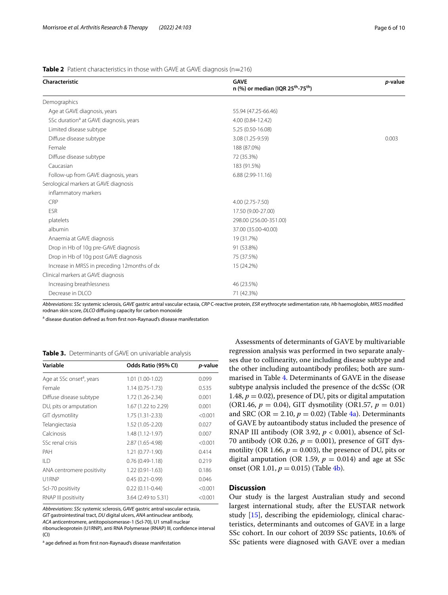*p***-value**

| Characteristic                                     | <b>GAVE</b><br>n (%) or median (IQR 25 <sup>th</sup> -75 <sup>th</sup> ) | p-val |
|----------------------------------------------------|--------------------------------------------------------------------------|-------|
| Demographics                                       |                                                                          |       |
| Age at GAVE diagnosis, years                       | 55.94 (47.25-66.46)                                                      |       |
| SSc duration <sup>a</sup> at GAVE diagnosis, years | 4.00 (0.84-12.42)                                                        |       |
| Limited disease subtype                            | 5.25 (0.50-16.08)                                                        |       |
| Diffuse disease subtype                            | 3.08 (1.25-9.59)                                                         | 0.003 |
| Female                                             | 188 (87.0%)                                                              |       |
| Diffuse disease subtype                            | 72 (35.3%)                                                               |       |
| Caucasian                                          | 183 (91.5%)                                                              |       |
| Follow-up from GAVE diagnosis, years               | $6.88(2.99-11.16)$                                                       |       |
| Serological markers at GAVE diagnosis              |                                                                          |       |
| inflammatory markers                               |                                                                          |       |
| CRP                                                | 4.00 (2.75-7.50)                                                         |       |
| <b>ESR</b>                                         | 17.50 (9.00-27.00)                                                       |       |
| platelets                                          | 298.00 (256.00-351.00)                                                   |       |
| albumin                                            | 37.00 (35.00-40.00)                                                      |       |
| Anaemia at GAVE diagnosis                          | 19 (31.7%)                                                               |       |
| Drop in Hb of 10g pre-GAVE diagnosis               | 91 (53.8%)                                                               |       |

<span id="page-5-0"></span>**Table 2** Patient characteristics in those with GAVE at GAVE diagnosis (n=216)

*Abbreviations*: *SSc* systemic sclerosis, *GAVE* gastric antral vascular ectasia, *CRP* C-reactive protein, *ESR* erythrocyte sedimentation rate, *Hb* haemoglobin, *MRSS* modifed rodnan skin score, *DLCO* difusing capacity for carbon monoxide

<sup>a</sup> disease duration defined as from first non-Raynaud's disease manifestation

Drop in Hb of 10g post GAVE diagnosis 75 (37.5%) Increase in MRSS in preceding 12months of dx 15 (24.2%)

Increasing breathlessness 46 (23.5%) Decrease in DLCO 71 (42.3%)

<span id="page-5-1"></span>**Table 3.** Determinants of GAVE on univariable analysis

Clinical markers at GAVE diagnosis

| Variable                              | Odds Ratio (95% CI) | p-value |
|---------------------------------------|---------------------|---------|
| Age at SSc onset <sup>a</sup> , years | 1.01 (1.00-1.02)    | 0.099   |
| Female                                | $1.14(0.75 - 1.73)$ | 0.535   |
| Diffuse disease subtype               | 1.72 (1.26-2.34)    | 0.001   |
| DU, pits or amputation                | 1.67 (1.22 to 2.29) | 0.001   |
| GIT dysmotility                       | 1.75 (1.31-2.33)    | < 0.001 |
| Telangiectasia                        | 1.52 (1.05-2.20)    | 0.027   |
| Calcinosis                            | 1.48 (1.12-1.97)    | 0.007   |
| SSc renal crisis                      | 2.87 (1.65-4.98)    | < 0.001 |
| PAH                                   | 1.21 (0.77-1.90)    | 0.414   |
| ILD                                   | $0.76(0.49-1.18)$   | 0.219   |
| ANA centromere positivity             | 1.22 (0.91-1.63)    | 0.186   |
| U1RNP                                 | $0.45(0.21-0.99)$   | 0.046   |
| Scl-70 positivity                     | $0.22(0.11-0.44)$   | < 0.001 |
| RNAP III positivity                   | 3.64 (2.49 to 5.31) | < 0.001 |

*Abbreviations*: *SSc* systemic sclerosis, *GAVE* gastric antral vascular ectasia, *GIT* gastrointestinal tract, *DU* digital ulcers, *ANA* antinuclear antibody, *ACA* anticentromere, antitopoisomerase-1 (Scl-70), U1 small nuclear ribonucleoprotein (U1RNP), anti RNA Polymerase (RNAP) III, confdence interval (CI)

<sup>a</sup> age defined as from first non-Raynaud's disease manifestation

Assessments of determinants of GAVE by multivariable regression analysis was performed in two separate analyses due to collinearity, one including disease subtype and the other including autoantibody profles; both are summarised in Table [4](#page-6-1). Determinants of GAVE in the disease subtype analysis included the presence of the dcSSc (OR 1.48,  $p = 0.02$ ), presence of DU, pits or digital amputation (OR1.46,  $p = 0.04$ ), GIT dysmotility (OR1.57,  $p = 0.01$ ) and SRC (OR  $= 2.10, p = 0.02$ ) (Table  $4a$ ). Determinants of GAVE by autoantibody status included the presence of RNAP III antibody (OR 3.92, *p* < 0.001), absence of Scl-70 antibody (OR 0.26,  $p = 0.001$ ), presence of GIT dysmotility (OR 1.66,  $p = 0.003$ ), the presence of DU, pits or digital amputation (OR 1.59,  $p = 0.014$ ) and age at SSc onset (OR 1.01,  $p = 0.015$ ) (Table [4b\)](#page-6-1).

# **Discussion**

Our study is the largest Australian study and second largest international study, after the EUSTAR network study [[15](#page-9-11)], describing the epidemiology, clinical characteristics, determinants and outcomes of GAVE in a large SSc cohort. In our cohort of 2039 SSc patients, 10.6% of SSc patients were diagnosed with GAVE over a median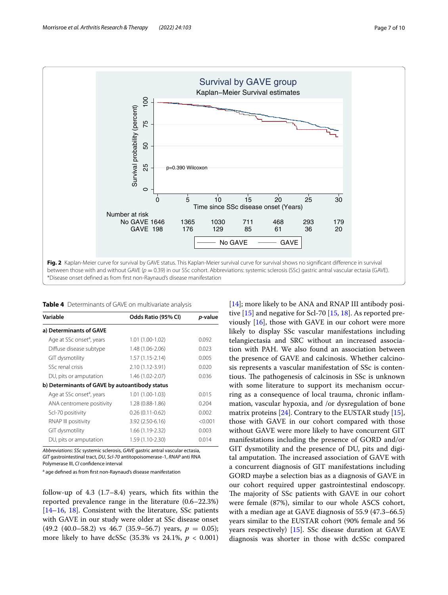

<span id="page-6-1"></span><span id="page-6-0"></span>**Table 4** Determinants of GAVE on multivariate analysis

| Variable                                       | Odds Ratio (95% CI) | <i>p</i> -value |
|------------------------------------------------|---------------------|-----------------|
| a) Determinants of GAVE                        |                     |                 |
| Age at SSc onset <sup>a</sup> , years          | 1.01 (1.00-1.02)    | 0.092           |
| Diffuse disease subtype                        | 1.48 (1.06-2.06)    | 0.023           |
| GIT dysmotility                                | $1.57(1.15-2.14)$   | 0.005           |
| SSc renal crisis                               | 2.10 (1.12-3.91)    | 0.020           |
| DU, pits or amputation                         | 1.46 (1.02-2.07)    | 0.036           |
| b) Determinants of GAVE by autoantibody status |                     |                 |
| Age at SSc onset <sup>a</sup> , years          | 1.01 (1.00-1.03)    | 0.015           |
| ANA centromere positivity                      | 1.28 (0.88-1.86)    | 0.204           |
| Scl-70 positivity                              | $0.26(0.11-0.62)$   | 0.002           |
| RNAP III positivity                            | 3.92 (2.50-6.16)    | < 0.001         |
| GIT dysmotility                                | 1.66 (1.19-2.32)    | 0.003           |
| DU, pits or amputation                         | 1.59 (1.10-2.30)    | 0.014           |

*Abbreviations*: *SSc* systemic sclerosis, *GAVE* gastric antral vascular ectasia, *GIT* gastrointestinal tract, *DU*, *Scl-70* antitopoisomerase-1, *RNAP* anti RNA Polymerase III, *CI* confdence interval

<sup>a</sup> age defined as from first non-Raynaud's disease manifestation

follow-up of 4.3 (1.7–8.4) years, which fts within the reported prevalence range in the literature (0.6–22.3%) [[14–](#page-9-10)[16](#page-9-12), [18](#page-9-14)]. Consistent with the literature, SSc patients with GAVE in our study were older at SSc disease onset  $(49.2 \ (40.0-58.2) \text{ vs } 46.7 \ (35.9-56.7) \text{ years}, p = 0.05);$ more likely to have dcSSc (35.3% vs 24.1%, *p* < 0.001) [[14\]](#page-9-10); more likely to be ANA and RNAP III antibody positive  $[15]$  and negative for Scl-70  $[15, 18]$  $[15, 18]$  $[15, 18]$ . As reported previously [[16\]](#page-9-12), those with GAVE in our cohort were more likely to display SSc vascular manifestations including telangiectasia and SRC without an increased association with PAH. We also found an association between the presence of GAVE and calcinosis. Whether calcinosis represents a vascular manifestation of SSc is contentious. The pathogenesis of calcinosis in SSc is unknown with some literature to support its mechanism occurring as a consequence of local trauma, chronic infammation, vascular hypoxia, and /or dysregulation of bone matrix proteins [\[24](#page-9-20)]. Contrary to the EUSTAR study [\[15](#page-9-11)], those with GAVE in our cohort compared with those without GAVE were more likely to have concurrent GIT manifestations including the presence of GORD and/or GIT dysmotility and the presence of DU, pits and digital amputation. The increased association of GAVE with a concurrent diagnosis of GIT manifestations including GORD maybe a selection bias as a diagnosis of GAVE in our cohort required upper gastrointestinal endoscopy. The majority of SSc patients with GAVE in our cohort were female (87%), similar to our whole ASCS cohort, with a median age at GAVE diagnosis of 55.9 (47.3–66.5) years similar to the EUSTAR cohort (90% female and 56 years respectively) [\[15\]](#page-9-11). SSc disease duration at GAVE diagnosis was shorter in those with dcSSc compared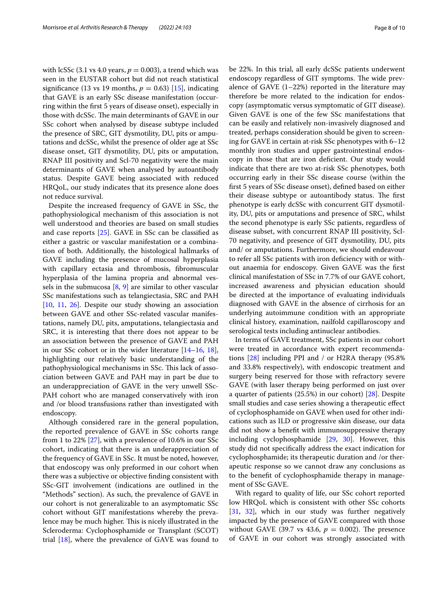with lcSSc  $(3.1 \text{ vs } 4.0 \text{ years}, p = 0.003)$ , a trend which was seen in the EUSTAR cohort but did not reach statistical significance (13 vs 19 months,  $p = 0.63$ ) [\[15](#page-9-11)], indicating that GAVE is an early SSc disease manifestation (occurring within the frst 5 years of disease onset), especially in those with dcSSc. The main determinants of GAVE in our SSc cohort when analysed by disease subtype included the presence of SRC, GIT dysmotility, DU, pits or amputations and dcSSc, whilst the presence of older age at SSc disease onset, GIT dysmotility, DU, pits or amputation, RNAP III positivity and Scl-70 negativity were the main determinants of GAVE when analysed by autoantibody status. Despite GAVE being associated with reduced HRQoL, our study indicates that its presence alone does not reduce survival.

Despite the increased frequency of GAVE in SSc, the pathophysiological mechanism of this association is not well understood and theories are based on small studies and case reports [[25\]](#page-9-21). GAVE in SSc can be classifed as either a gastric or vascular manifestation or a combination of both. Additionally, the histological hallmarks of GAVE including the presence of mucosal hyperplasia with capillary ectasia and thrombosis, fbromuscular hyperplasia of the lamina propria and abnormal vessels in the submucosa  $[8, 9]$  $[8, 9]$  $[8, 9]$  $[8, 9]$  are similar to other vascular SSc manifestations such as telangiectasia, SRC and PAH [[10,](#page-9-6) [11](#page-9-7), [26](#page-9-22)]. Despite our study showing an association between GAVE and other SSc-related vascular manifestations, namely DU, pits, amputations, telangiectasia and SRC, it is interesting that there does not appear to be an association between the presence of GAVE and PAH in our SSc cohort or in the wider literature [\[14](#page-9-10)–[16,](#page-9-12) [18](#page-9-14)], highlighting our relatively basic understanding of the pathophysiological mechanisms in SSc. This lack of association between GAVE and PAH may in part be due to an underappreciation of GAVE in the very unwell SSc-PAH cohort who are managed conservatively with iron and /or blood transfusions rather than investigated with endoscopy.

Although considered rare in the general population, the reported prevalence of GAVE in SSc cohorts range from 1 to 22% [[27\]](#page-9-23), with a prevalence of 10.6% in our SSc cohort, indicating that there is an underappreciation of the frequency of GAVE in SSc. It must be noted, however, that endoscopy was only preformed in our cohort when there was a subjective or objective fnding consistent with SSc-GIT involvement (indications are outlined in the "Methods" section). As such, the prevalence of GAVE in our cohort is not generalizable to an asymptomatic SSc cohort without GIT manifestations whereby the prevalence may be much higher. This is nicely illustrated in the Scleroderma: Cyclophosphamide or Transplant (SCOT) trial [[18](#page-9-14)], where the prevalence of GAVE was found to be 22%. In this trial, all early dcSSc patients underwent endoscopy regardless of GIT symptoms. The wide prevalence of GAVE (1–22%) reported in the literature may therefore be more related to the indication for endoscopy (asymptomatic versus symptomatic of GIT disease). Given GAVE is one of the few SSc manifestations that can be easily and relatively non-invasively diagnosed and treated, perhaps consideration should be given to screening for GAVE in certain at-risk SSc phenotypes with 6–12 monthly iron studies and upper gastrointestinal endoscopy in those that are iron defcient. Our study would indicate that there are two at-risk SSc phenotypes, both occurring early in their SSc disease course (within the frst 5 years of SSc disease onset), defned based on either their disease subtype or autoantibody status. The first phenotype is early dcSSc with concurrent GIT dysmotility, DU, pits or amputations and presence of SRC, whilst the second phenotype is early SSc patients, regardless of disease subset, with concurrent RNAP III positivity, Scl-70 negativity, and presence of GIT dysmotility, DU, pits and/ or amputations. Furthermore, we should endeavour to refer all SSc patients with iron defciency with or without anaemia for endoscopy. Given GAVE was the frst clinical manifestation of SSc in 7.7% of our GAVE cohort, increased awareness and physician education should be directed at the importance of evaluating individuals diagnosed with GAVE in the absence of cirrhosis for an underlying autoimmune condition with an appropriate clinical history, examination, nailfold capillaroscopy and serological tests including antinuclear antibodies.

In terms of GAVE treatment, SSc patients in our cohort were treated in accordance with expert recommendations [[28\]](#page-9-24) including PPI and / or H2RA therapy (95.8% and 33.8% respectively), with endoscopic treatment and surgery being reserved for those with refractory severe GAVE (with laser therapy being performed on just over a quarter of patients (25.5%) in our cohort) [\[28](#page-9-24)]. Despite small studies and case series showing a therapeutic efect of cyclophosphamide on GAVE when used for other indications such as ILD or progressive skin disease, our data did not show a beneft with immunosuppressive therapy including cyclophosphamide [[29,](#page-9-25) [30\]](#page-9-26). However, this study did not specifcally address the exact indication for cyclophosphamide; its therapeutic duration and /or therapeutic response so we cannot draw any conclusions as to the beneft of cyclophosphamide therapy in management of SSc GAVE.

With regard to quality of life, our SSc cohort reported low HRQoL which is consistent with other SSc cohorts [[31,](#page-9-27) [32\]](#page-9-28), which in our study was further negatively impacted by the presence of GAVE compared with those without GAVE (39.7 vs 43.6,  $p = 0.002$ ). The presence of GAVE in our cohort was strongly associated with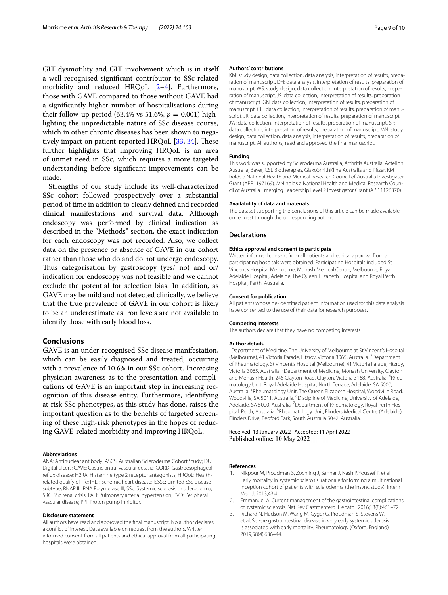GIT dysmotility and GIT involvement which is in itself a well-recognised signifcant contributor to SSc-related morbidity and reduced HRQoL [[2–](#page-8-1)[4\]](#page-9-0). Furthermore, those with GAVE compared to those without GAVE had a signifcantly higher number of hospitalisations during their follow-up period (63.4% vs 51.6%,  $p = 0.001$ ) highlighting the unpredictable nature of SSc disease course, which in other chronic diseases has been shown to negatively impact on patient-reported HRQoL  $[33, 34]$  $[33, 34]$  $[33, 34]$ . These further highlights that improving HRQoL is an area of unmet need in SSc, which requires a more targeted understanding before signifcant improvements can be made.

Strengths of our study include its well-characterized SSc cohort followed prospectively over a substantial period of time in addition to clearly defned and recorded clinical manifestations and survival data. Although endoscopy was performed by clinical indication as described in the "Methods" section, the exact indication for each endoscopy was not recorded. Also, we collect data on the presence or absence of GAVE in our cohort rather than those who do and do not undergo endoscopy. Thus categorisation by gastroscopy (yes/ no) and or/ indication for endoscopy was not feasible and we cannot exclude the potential for selection bias. In addition, as GAVE may be mild and not detected clinically, we believe that the true prevalence of GAVE in our cohort is likely to be an underestimate as iron levels are not available to identify those with early blood loss.

# **Conclusions**

GAVE is an under-recognised SSc disease manifestation, which can be easily diagnosed and treated, occurring with a prevalence of 10.6% in our SSc cohort. Increasing physician awareness as to the presentation and complications of GAVE is an important step in increasing recognition of this disease entity. Furthermore, identifying at-risk SSc phenotypes, as this study has done, raises the important question as to the benefts of targeted screening of these high-risk phenotypes in the hopes of reducing GAVE-related morbidity and improving HRQoL.

## **Abbreviations**

ANA: Antinuclear antibody; ASCS: Australian Scleroderma Cohort Study; DU: Digital ulcers; GAVE: Gastric antral vascular ectasia; GORD: Gastroesophageal refux disease; H2RA: Histamine type 2 receptor antagonists; HRQoL: Healthrelated qualify of life; IHD: Ischemic heart disease; lcSSc: Limited SSc disease subtype; RNAP III: RNA Polymerase III; SSc: Systemic sclerosis or scleroderma; SRC: SSc renal crisis; PAH: Pulmonary arterial hypertension; PVD: Peripheral vascular disease; PPI: Proton pump inhibitor.

## **Disclosure statement**

All authors have read and approved the fnal manuscript. No author declares a confict of interest. Data available on request from the authors. Written informed consent from all patients and ethical approval from all participating hospitals were obtained.

#### **Authors' contributions**

KM: study design, data collection, data analysis, interpretation of results, preparation of manuscript. DH: data analysis, interpretation of results, preparation of manuscript. WS: study design, data collection, interpretation of results, preparation of manuscript. JS: data collection, interpretation of results, preparation of manuscript. GN: data collection, interpretation of results, preparation of manuscript. CH: data collection, interpretation of results, preparation of manuscript. JR: data collection, interpretation of results, preparation of manuscript. JW: data collection, interpretation of results, preparation of manuscript. SP: data collection, interpretation of results, preparation of manuscript. MN: study design, data collection, data analysis, interpretation of results, preparation of manuscript. All author(s) read and approved the fnal manuscript.

#### **Funding**

This work was supported by Scleroderma Australia, Arthritis Australia, Actelion Australia, Bayer, CSL Biotherapies, GlaxoSmithKline Australia and Pfzer. KM holds a National Health and Medical Research Council of Australia Investigator Grant (APP1197169). MN holds a National Health and Medical Research Council of Australia Emerging Leadership Level 2 Investigator Grant (APP 1126370).

## **Availability of data and materials**

The dataset supporting the conclusions of this article can be made available on request through the corresponding author.

#### **Declarations**

#### **Ethics approval and consent to participate**

Written informed consent from all patients and ethical approval from all participating hospitals were obtained. Participating Hospitals included St Vincent's Hospital Melbourne, Monash Medical Centre, Melbourne, Royal Adelaide Hospital, Adelaide, The Queen Elizabeth Hospital and Royal Perth Hospital, Perth, Australia.

#### **Consent for publication**

All patients whose de-identifed patient information used for this data analysis have consented to the use of their data for research purposes.

#### **Competing interests**

The authors declare that they have no competing interests.

#### **Author details**

<sup>1</sup> Department of Medicine, The University of Melbourne at St Vincent's Hospital (Melbourne), 41 Victoria Parade, Fitzroy, Victoria 3065, Australia. <sup>2</sup> Department of Rheumatology, St Vincent's Hospital (Melbourne), 41 Victoria Parade, Fitzroy, Victoria 3065, Australia. <sup>3</sup> Department of Medicine, Monash University, Clayton and Monash Health, 246 Clayton Road, Clayton, Victoria 3168, Australia. <sup>4</sup>Rheumatology Unit, Royal Adelaide Hospital, North Terrace, Adelaide, SA 5000, Australia. <sup>5</sup> Rheumatology Unit, The Queen Elizabeth Hospital, Woodville Road, Woodville, SA 5011, Australia. <sup>6</sup> Discipline of Medicine, University of Adelaide, Adelaide, SA 5000, Australia. <sup>7</sup> Department of Rheumatology, Royal Perth Hospital, Perth, Australia. <sup>8</sup>Rheumatology Unit, Flinders Medical Centre (Adelaide), Flinders Drive, Bedford Park, South Australia 5042, Australia.

Received: 13 January 2022 Accepted: 11 April 2022 Published online: 10 May 2022

#### **References**

- <span id="page-8-0"></span>Nikpour M, Proudman S, Zochling J, Sahhar J, Nash P, Youssef P, et al. Early mortality in systemic sclerosis: rationale for forming a multinational inception cohort of patients with scleroderma (the insync study). Intern Med J. 2013;43:4.
- <span id="page-8-1"></span>2. Emmanuel A. Current management of the gastrointestinal complications of systemic sclerosis. Nat Rev Gastroenterol Hepatol. 2016;13(8):461–72.
- 3. Richard N, Hudson M, Wang M, Gyger G, Proudman S, Stevens W, et al. Severe gastrointestinal disease in very early systemic sclerosis is associated with early mortality. Rheumatology (Oxford, England). 2019;58(4):636–44.